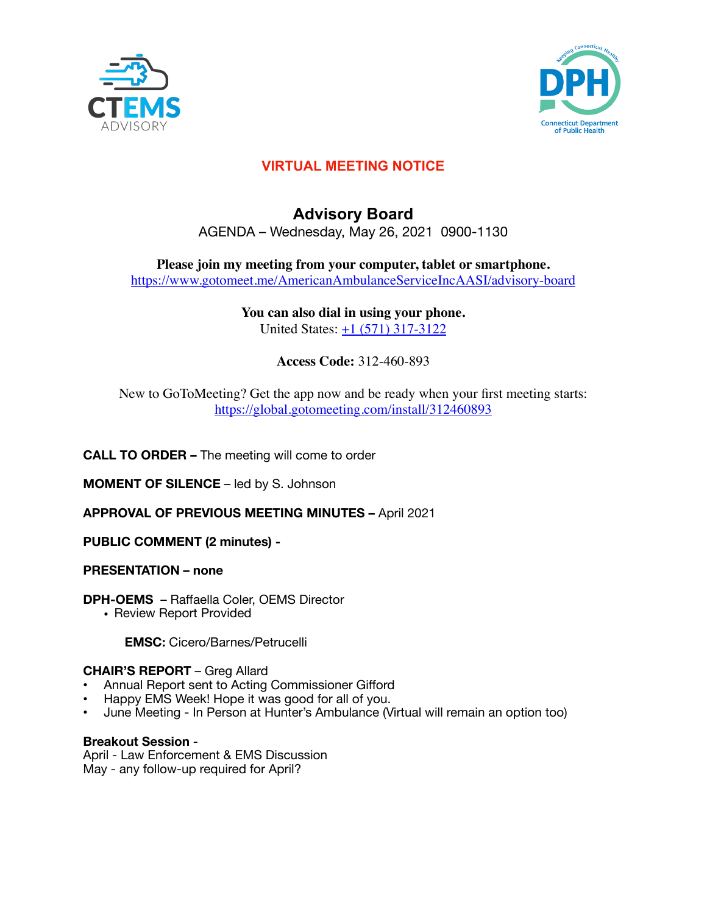



# **VIRTUAL MEETING NOTICE**

# **Advisory Board**  AGENDA – Wednesday, May 26, 2021 0900-1130

**Please join my meeting from your computer, tablet or smartphone.**  <https://www.gotomeet.me/AmericanAmbulanceServiceIncAASI/advisory-board>

# **You can also dial in using your phone.**

United States: +1 (571) 317-3122

# **Access Code:** 312-460-893

New to GoToMeeting? Get the app now and be ready when your first meeting starts: <https://global.gotomeeting.com/install/312460893>

# **CALL TO ORDER –** The meeting will come to order

**MOMENT OF SILENCE** – led by S. Johnson

**APPROVAL OF PREVIOUS MEETING MINUTES –** April 2021

**PUBLIC COMMENT (2 minutes) -** 

## **PRESENTATION – none**

**DPH-OEMS** – Raffaella Coler, OEMS Director

• Review Report Provided

**EMSC:** Cicero/Barnes/Petrucelli

## **CHAIR'S REPORT** – Greg Allard

- Annual Report sent to Acting Commissioner Gifford
- Happy EMS Week! Hope it was good for all of you.
- June Meeting In Person at Hunter's Ambulance (Virtual will remain an option too)

#### **Breakout Session** -

April - Law Enforcement & EMS Discussion May - any follow-up required for April?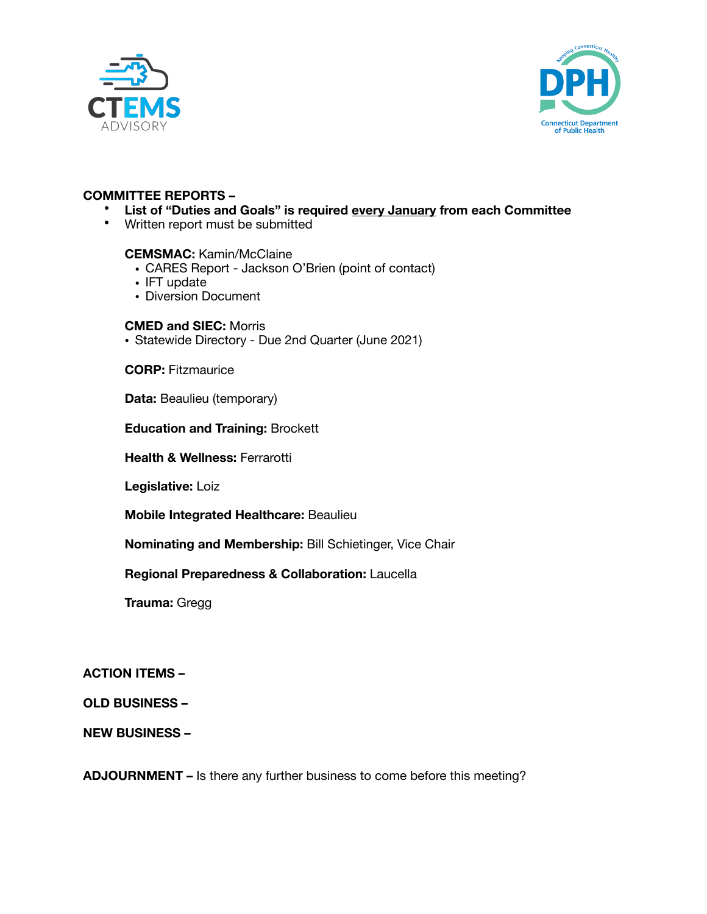



### **COMMITTEE REPORTS –**

- **List of "Duties and Goals" is required every January from each Committee**
- Written report must be submitted

#### **CEMSMAC:** Kamin/McClaine

- CARES Report Jackson O'Brien (point of contact)
- IFT update
- Diversion Document

#### **CMED and SIEC:** Morris

• Statewide Directory - Due 2nd Quarter (June 2021)

**CORP:** Fitzmaurice

**Data: Beaulieu (temporary)** 

**Education and Training:** Brockett

**Health & Wellness:** Ferrarotti

**Legislative:** Loiz

**Mobile Integrated Healthcare:** Beaulieu

**Nominating and Membership:** Bill Schietinger, Vice Chair

#### **Regional Preparedness & Collaboration:** Laucella

**Trauma:** Gregg 

## **ACTION ITEMS –**

## **OLD BUSINESS –**

## **NEW BUSINESS –**

**ADJOURNMENT –** Is there any further business to come before this meeting?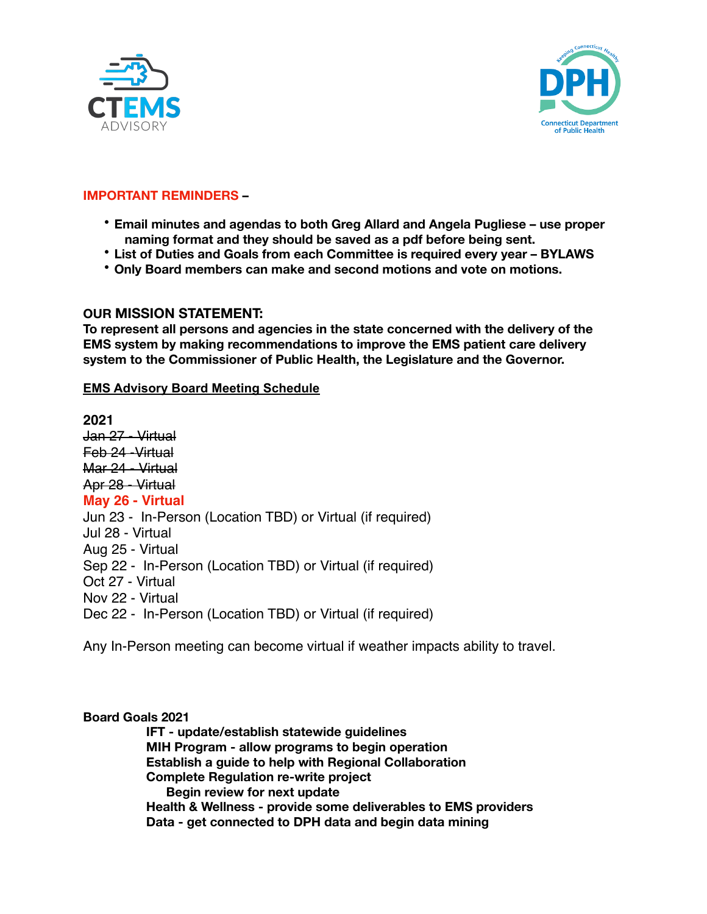



# **IMPORTANT REMINDERS –**

- **Email minutes and agendas to both Greg Allard and Angela Pugliese use proper naming format and they should be saved as a pdf before being sent.**
- **List of Duties and Goals from each Committee is required every year BYLAWS**
- **Only Board members can make and second motions and vote on motions.**

# **OUR MISSION STATEMENT:**

**To represent all persons and agencies in the state concerned with the delivery of the EMS system by making recommendations to improve the EMS patient care delivery system to the Commissioner of Public Health, the Legislature and the Governor.** 

# **EMS Advisory Board Meeting Schedule**

**2021**  Jan 27 - Virtual Feb 24 -Virtual Mar 24 - Virtual Apr 28 - Virtual **May 26 - Virtual**  Jun 23 - In-Person (Location TBD) or Virtual (if required) Jul 28 - Virtual Aug 25 - Virtual Sep 22 - In-Person (Location TBD) or Virtual (if required) Oct 27 - Virtual Nov 22 - Virtual Dec 22 - In-Person (Location TBD) or Virtual (if required)

Any In-Person meeting can become virtual if weather impacts ability to travel.

# **Board Goals 2021**

**IFT - update/establish statewide guidelines MIH Program - allow programs to begin operation Establish a guide to help with Regional Collaboration Complete Regulation re-write project Begin review for next update Health & Wellness - provide some deliverables to EMS providers Data - get connected to DPH data and begin data mining**